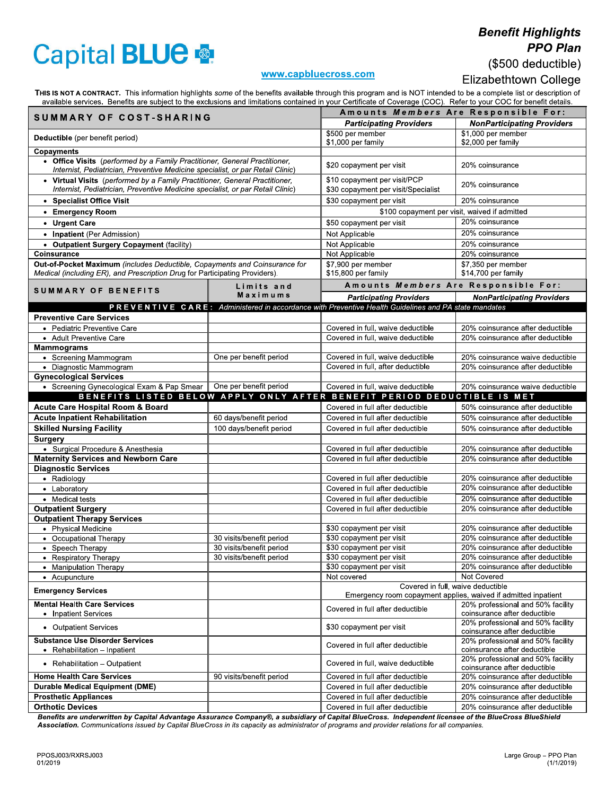## **Capital BLUE ®**

## **Benefit Highlights PPO Plan** (\$500 deductible)

## www.capbluecross.com

## Elizabethtown College

THIS IS NOT A CONTRACT. This information highlights some of the benefits available through this program and is NOT intended to be a complete list or description of available services. Benefits are subject to the exclusions

| SUMMARY OF COST-SHARING                                                                                                                                       |                          | Amounts Members Are Responsible For:                                                                |                                                                      |
|---------------------------------------------------------------------------------------------------------------------------------------------------------------|--------------------------|-----------------------------------------------------------------------------------------------------|----------------------------------------------------------------------|
|                                                                                                                                                               |                          | <b>Participating Providers</b>                                                                      | <b>NonParticipating Providers</b>                                    |
| Deductible (per benefit period)                                                                                                                               |                          | \$500 per member<br>\$1,000 per family                                                              | \$1,000 per member<br>\$2,000 per family                             |
| Copayments                                                                                                                                                    |                          |                                                                                                     |                                                                      |
| • Office Visits (performed by a Family Practitioner, General Practitioner,<br>Internist, Pediatrician, Preventive Medicine specialist, or par Retail Clinic)  |                          | \$20 copayment per visit                                                                            | 20% coinsurance                                                      |
| • Virtual Visits (performed by a Family Practitioner, General Practitioner,<br>Internist, Pediatrician, Preventive Medicine specialist, or par Retail Clinic) |                          | \$10 copayment per visit/PCP<br>\$30 copayment per visit/Specialist                                 | 20% coinsurance                                                      |
| • Specialist Office Visit                                                                                                                                     |                          | \$30 copayment per visit                                                                            | 20% coinsurance                                                      |
| • Emergency Room                                                                                                                                              |                          | \$100 copayment per visit, waived if admitted                                                       |                                                                      |
| • Urgent Care                                                                                                                                                 |                          | \$50 copayment per visit                                                                            | 20% coinsurance                                                      |
| • Inpatient (Per Admission)                                                                                                                                   |                          | Not Applicable                                                                                      | 20% coinsurance                                                      |
| • Outpatient Surgery Copayment (facility)                                                                                                                     |                          | Not Applicable                                                                                      | 20% coinsurance                                                      |
| Coinsurance                                                                                                                                                   |                          | Not Applicable                                                                                      | 20% coinsurance                                                      |
| Out-of-Pocket Maximum (includes Deductible, Copayments and Coinsurance for                                                                                    |                          | \$7,900 per member                                                                                  | \$7,350 per member                                                   |
| Medical (including ER), and Prescription Drug for Participating Providers).                                                                                   |                          | \$15,800 per family                                                                                 | \$14,700 per family                                                  |
|                                                                                                                                                               | Limits and               | Amounts Members Are Responsible For:                                                                |                                                                      |
| <b>SUMMARY OF BENEFITS</b>                                                                                                                                    | Maximums                 | <b>Participating Providers</b>                                                                      | <b>NonParticipating Providers</b>                                    |
|                                                                                                                                                               |                          | PREVENTIVE CARE: Administered in accordance with Preventive Health Guidelines and PA state mandates |                                                                      |
| <b>Preventive Care Services</b>                                                                                                                               |                          |                                                                                                     |                                                                      |
| • Pediatric Preventive Care                                                                                                                                   |                          | Covered in full, waive deductible                                                                   | 20% coinsurance after deductible                                     |
| • Adult Preventive Care                                                                                                                                       |                          | Covered in full, waive deductible                                                                   | 20% coinsurance after deductible                                     |
| <b>Mammograms</b>                                                                                                                                             |                          |                                                                                                     |                                                                      |
| • Screening Mammogram                                                                                                                                         | One per benefit period   | Covered in full, waive deductible                                                                   | 20% coinsurance waive deductible                                     |
| • Diagnostic Mammogram                                                                                                                                        |                          | Covered in full, after deductible                                                                   | 20% coinsurance after deductible                                     |
| <b>Gynecological Services</b>                                                                                                                                 |                          |                                                                                                     |                                                                      |
| • Screening Gynecological Exam & Pap Smear                                                                                                                    | One per benefit period   | Covered in full, waive deductible                                                                   | 20% coinsurance waive deductible                                     |
|                                                                                                                                                               |                          | BENEFITS LISTED BELOW APPLY ONLY AFTER BENEFIT PERIOD DEDUCTIBLE IS MET                             |                                                                      |
| Acute Care Hospital Room & Board                                                                                                                              |                          | Covered in full after deductible                                                                    | 50% coinsurance after deductible                                     |
| <b>Acute Inpatient Rehabilitation</b>                                                                                                                         | 60 days/benefit period   | Covered in full after deductible                                                                    | 50% coinsurance after deductible                                     |
| <b>Skilled Nursing Facility</b>                                                                                                                               | 100 days/benefit period  | Covered in full after deductible                                                                    | 50% coinsurance after deductible                                     |
| Surgery                                                                                                                                                       |                          |                                                                                                     |                                                                      |
| • Surgical Procedure & Anesthesia<br><b>Maternity Services and Newborn Care</b>                                                                               |                          | Covered in full after deductible<br>Covered in full after deductible                                | 20% coinsurance after deductible<br>20% coinsurance after deductible |
| <b>Diagnostic Services</b>                                                                                                                                    |                          |                                                                                                     |                                                                      |
| • Radiology                                                                                                                                                   |                          | Covered in full after deductible                                                                    | 20% coinsurance after deductible                                     |
| • Laboratory                                                                                                                                                  |                          | Covered in full after deductible                                                                    | 20% coinsurance after deductible                                     |
| • Medical tests                                                                                                                                               |                          | Covered in full after deductible                                                                    | 20% coinsurance after deductible                                     |
| <b>Outpatient Surgery</b>                                                                                                                                     |                          | Covered in full after deductible                                                                    | 20% coinsurance after deductible                                     |
| <b>Outpatient Therapy Services</b>                                                                                                                            |                          |                                                                                                     |                                                                      |
| • Physical Medicine                                                                                                                                           |                          | \$30 copayment per visit                                                                            | 20% coinsurance after deductible                                     |
| • Occupational Therapy                                                                                                                                        | 30 visits/benefit period | \$30 copayment per visit                                                                            | 20% coinsurance after deductible                                     |
| • Speech Therapy                                                                                                                                              | 30 visits/benefit period | \$30 copayment per visit                                                                            | 20% coinsurance after deductible                                     |
| • Respiratory Therapy                                                                                                                                         | 30 visits/benefit period | \$30 copayment per visit                                                                            | 20% coinsurance after deductible                                     |
| • Manipulation Therapy                                                                                                                                        |                          | \$30 copayment per visit                                                                            | 20% coinsurance after deductible                                     |
| • Acupuncture                                                                                                                                                 |                          | Not covered                                                                                         | Not Covered                                                          |
| <b>Emergency Services</b>                                                                                                                                     |                          | Covered in full, waive deductible<br>Emergency room copayment applies, waived if admitted inpatient |                                                                      |
| <b>Mental Health Care Services</b>                                                                                                                            |                          |                                                                                                     | 20% professional and 50% facility                                    |
| • Inpatient Services                                                                                                                                          |                          | Covered in full after deductible                                                                    | coinsurance after deductible                                         |
| • Outpatient Services                                                                                                                                         |                          | \$30 copayment per visit                                                                            | 20% professional and 50% facility<br>coinsurance after deductible    |
| <b>Substance Use Disorder Services</b><br>• Rehabilitation – Inpatient                                                                                        |                          | Covered in full after deductible                                                                    | 20% professional and 50% facility<br>coinsurance after deductible    |
| • Rehabilitation - Outpatient                                                                                                                                 |                          | Covered in full, waive deductible                                                                   | 20% professional and 50% facility<br>coinsurance after deductible    |
| <b>Home Health Care Services</b>                                                                                                                              | 90 visits/benefit period | Covered in full after deductible                                                                    | 20% coinsurance after deductible                                     |
| <b>Durable Medical Equipment (DME)</b>                                                                                                                        |                          | Covered in full after deductible                                                                    | 20% coinsurance after deductible                                     |
| <b>Prosthetic Appliances</b>                                                                                                                                  |                          | Covered in full after deductible                                                                    | 20% coinsurance after deductible                                     |
| <b>Orthotic Devices</b>                                                                                                                                       |                          | Covered in full after deductible                                                                    | 20% coinsurance after deductible                                     |
|                                                                                                                                                               |                          |                                                                                                     |                                                                      |

Benefits are underwritten by Capital Advantage Assurance Company®, a subsidiary of Capital BlueCross. Independent licensee of the BlueCross BlueShield Association. Communications issued by Capital BlueCross in its capacity as administrator of programs and provider relations for all companies.